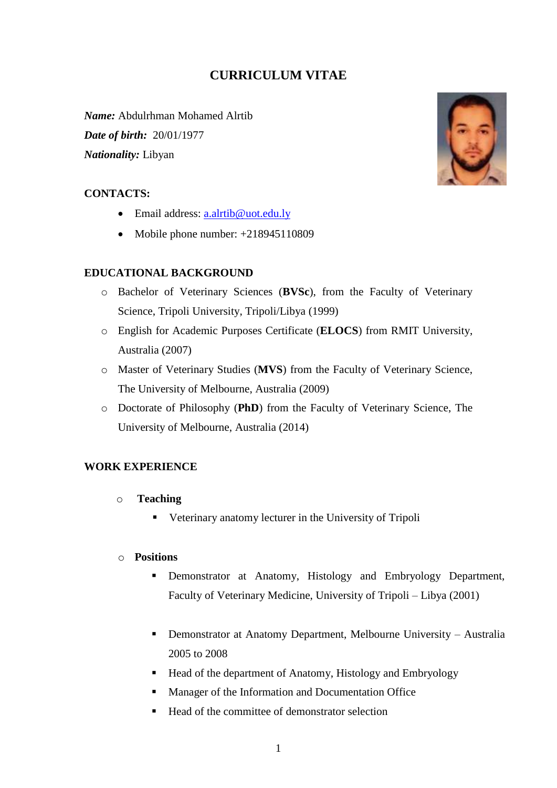# **CURRICULUM VITAE**

*Name:* Abdulrhman Mohamed Alrtib *Date of birth:* 20/01/1977 *Nationality:* Libyan

#### **CONTACTS:**

- Email address: [a.alrtib@uot.edu.ly](mailto:a.alrtib@uot.edu.ly)
- Mobile phone number:  $+218945110809$

## **EDUCATIONAL BACKGROUND**

- o Bachelor of Veterinary Sciences (**BVSc**), from the Faculty of Veterinary Science, Tripoli University, Tripoli/Libya (1999)
- o English for Academic Purposes Certificate (**ELOCS**) from RMIT University, Australia (2007)
- o Master of Veterinary Studies (**MVS**) from the Faculty of Veterinary Science, The University of Melbourne, Australia (2009)
- o Doctorate of Philosophy (**PhD**) from the Faculty of Veterinary Science, The University of Melbourne, Australia (2014)

#### **WORK EXPERIENCE**

- o **Teaching**
	- Veterinary anatomy lecturer in the University of Tripoli

### o **Positions**

- Demonstrator at Anatomy, Histology and Embryology Department, Faculty of Veterinary Medicine, University of Tripoli – Libya (2001)
- Demonstrator at Anatomy Department, Melbourne University Australia 2005 to 2008
- Head of the department of Anatomy, Histology and Embryology
- **Manager of the Information and Documentation Office**
- Head of the committee of demonstrator selection

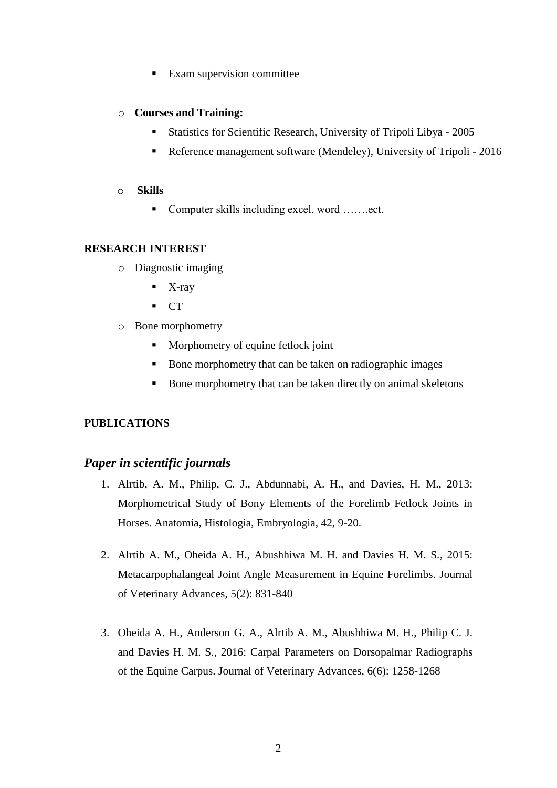■ Exam supervision committee

# o **Courses and Training:**

- Statistics for Scientific Research, University of Tripoli Libya 2005
- Reference management software (Mendeley), University of Tripoli 2016

# o **Skills**

■ Computer skills including excel, word …….ect.

# **RESEARCH INTEREST**

- o Diagnostic imaging
	- $\blacksquare$  X-ray
	- $\blacksquare$  CT
- o Bone morphometry
	- **Morphometry of equine fetlock joint**
	- Bone morphometry that can be taken on radiographic images
	- Bone morphometry that can be taken directly on animal skeletons

# **PUBLICATIONS**

# *Paper in scientific journals*

- 1. Alrtib, A. M., Philip, C. J., Abdunnabi, A. H., and Davies, H. M., 2013: Morphometrical Study of Bony Elements of the Forelimb Fetlock Joints in Horses. Anatomia, Histologia, Embryologia, 42, 9-20.
- 2. Alrtib A. M., Oheida A. H., Abushhiwa M. H. and Davies H. M. S., 2015: Metacarpophalangeal Joint Angle Measurement in Equine Forelimbs. Journal of Veterinary Advances, 5(2): 831-840
- 3. Oheida A. H., Anderson G. A., Alrtib A. M., Abushhiwa M. H., Philip C. J. and Davies H. M. S., 2016: Carpal Parameters on Dorsopalmar Radiographs of the Equine Carpus. Journal of Veterinary Advances, 6(6): 1258-1268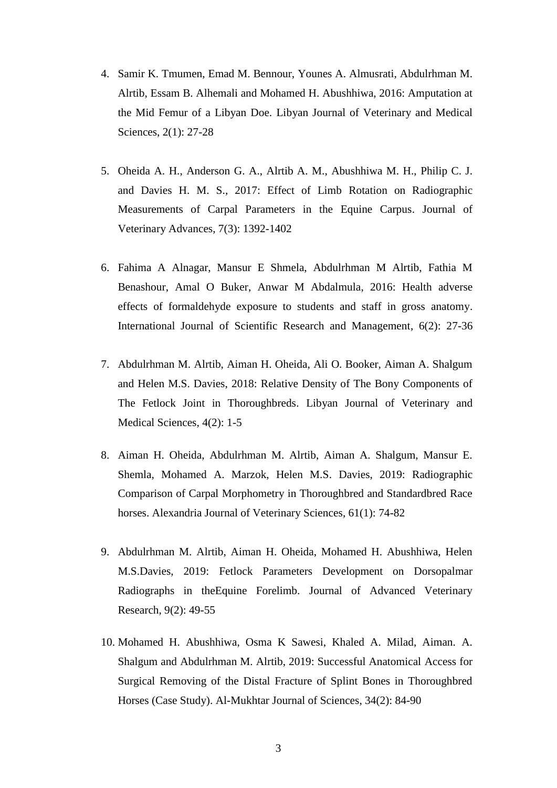- 4. Samir K. Tmumen, Emad M. Bennour, Younes A. Almusrati, Abdulrhman M. Alrtib, Essam B. Alhemali and Mohamed H. Abushhiwa, 2016: Amputation at the Mid Femur of a Libyan Doe. Libyan Journal of Veterinary and Medical Sciences, 2(1): 27-28
- 5. Oheida A. H., Anderson G. A., Alrtib A. M., Abushhiwa M. H., Philip C. J. and Davies H. M. S., 2017: Effect of Limb Rotation on Radiographic Measurements of Carpal Parameters in the Equine Carpus. Journal of Veterinary Advances, 7(3): 1392-1402
- 6. Fahima A Alnagar, Mansur E Shmela, Abdulrhman M Alrtib, Fathia M Benashour, Amal O Buker, Anwar M Abdalmula, 2016: Health adverse effects of formaldehyde exposure to students and staff in gross anatomy. International Journal of Scientific Research and Management, 6(2): 27-36
- 7. Abdulrhman M. Alrtib, Aiman H. Oheida, Ali O. Booker, Aiman A. Shalgum and Helen M.S. Davies, 2018: Relative Density of The Bony Components of The Fetlock Joint in Thoroughbreds. Libyan Journal of Veterinary and Medical Sciences, 4(2): 1-5
- 8. Aiman H. Oheida, Abdulrhman M. Alrtib, Aiman A. Shalgum, Mansur E. Shemla, Mohamed A. Marzok, Helen M.S. Davies, 2019: Radiographic Comparison of Carpal Morphometry in Thoroughbred and Standardbred Race horses. Alexandria Journal of Veterinary Sciences, 61(1): 74-82
- 9. Abdulrhman M. Alrtib, Aiman H. Oheida, Mohamed H. Abushhiwa, Helen M.S.Davies, 2019: Fetlock Parameters Development on Dorsopalmar Radiographs in theEquine Forelimb. Journal of Advanced Veterinary Research, 9(2): 49-55
- 10. Mohamed H. Abushhiwa, Osma K Sawesi, Khaled A. Milad, Aiman. A. Shalgum and Abdulrhman M. Alrtib, 2019: Successful Anatomical Access for Surgical Removing of the Distal Fracture of Splint Bones in Thoroughbred Horses (Case Study). Al-Mukhtar Journal of Sciences, 34(2): 84-90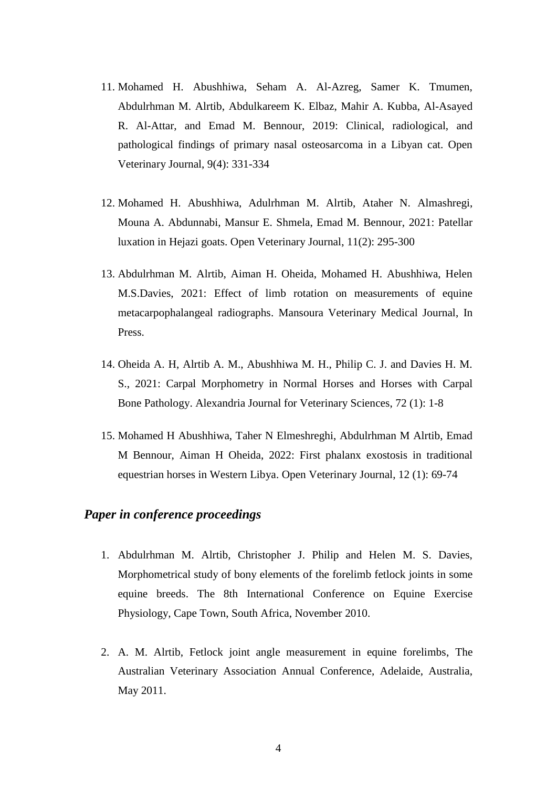- 11. Mohamed H. Abushhiwa, Seham A. Al-Azreg, Samer K. Tmumen, Abdulrhman M. Alrtib, Abdulkareem K. Elbaz, Mahir A. Kubba, Al-Asayed R. Al-Attar, and Emad M. Bennour, 2019: Clinical, radiological, and pathological findings of primary nasal osteosarcoma in a Libyan cat. Open Veterinary Journal, 9(4): 331-334
- 12. Mohamed H. Abushhiwa, Adulrhman M. Alrtib, Ataher N. Almashregi, Mouna A. Abdunnabi, Mansur E. Shmela, Emad M. Bennour, 2021: Patellar luxation in Hejazi goats. Open Veterinary Journal, 11(2): 295-300
- 13. Abdulrhman M. Alrtib, Aiman H. Oheida, Mohamed H. Abushhiwa, Helen M.S.Davies, 2021: Effect of limb rotation on measurements of equine metacarpophalangeal radiographs. Mansoura Veterinary Medical Journal, In Press.
- 14. Oheida A. H, Alrtib A. M., Abushhiwa M. H., Philip C. J. and Davies H. M. S., 2021: Carpal Morphometry in Normal Horses and Horses with Carpal Bone Pathology. Alexandria Journal for Veterinary Sciences, 72 (1): 1-8
- 15. Mohamed H Abushhiwa, Taher N Elmeshreghi, Abdulrhman M Alrtib, Emad M Bennour, Aiman H Oheida, 2022: [First phalanx exostosis in traditional](https://www.ajol.info/index.php/ovj/article/view/224840)  [equestrian horses in Western Libya.](https://www.ajol.info/index.php/ovj/article/view/224840) Open Veterinary Journal, 12 (1): 69-74

# *Paper in conference proceedings*

- 1. Abdulrhman M. Alrtib, Christopher J. Philip and Helen M. S. Davies, Morphometrical study of bony elements of the forelimb fetlock joints in some equine breeds. The 8th International Conference on Equine Exercise Physiology, Cape Town, South Africa, November 2010.
- 2. A. M. Alrtib, Fetlock joint angle measurement in equine forelimbs, The Australian Veterinary Association Annual Conference, Adelaide, Australia, May 2011.